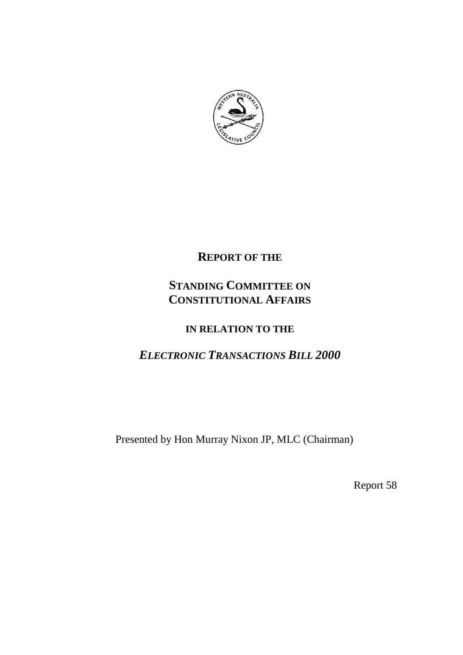

## **REPORT OF THE**

# **STANDING COMMITTEE ON CONSTITUTIONAL AFFAIRS**

## **IN RELATION TO THE**

# *ELECTRONIC TRANSACTIONS BILL 2000*

Presented by Hon Murray Nixon JP, MLC (Chairman)

Report 58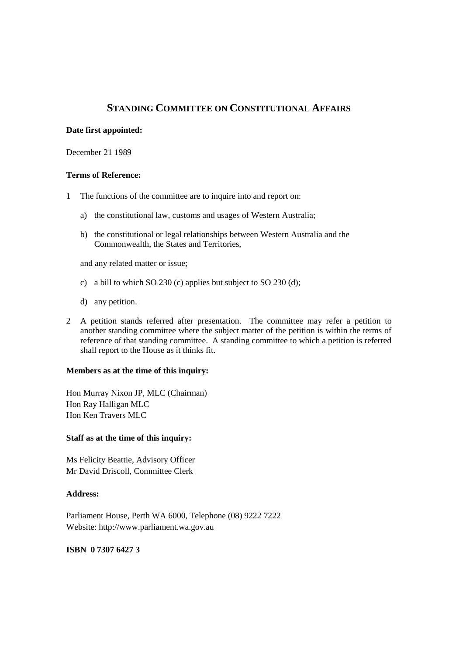## **STANDING COMMITTEE ON CONSTITUTIONAL AFFAIRS**

#### **Date first appointed:**

December 21 1989

#### **Terms of Reference:**

- 1 The functions of the committee are to inquire into and report on:
	- a) the constitutional law, customs and usages of Western Australia;
	- b) the constitutional or legal relationships between Western Australia and the Commonwealth, the States and Territories,

and any related matter or issue;

- c) a bill to which SO 230 (c) applies but subject to SO 230 (d);
- d) any petition.
- 2 A petition stands referred after presentation. The committee may refer a petition to another standing committee where the subject matter of the petition is within the terms of reference of that standing committee. A standing committee to which a petition is referred shall report to the House as it thinks fit.

#### **Members as at the time of this inquiry:**

Hon Murray Nixon JP, MLC (Chairman) Hon Ray Halligan MLC Hon Ken Travers MLC

#### **Staff as at the time of this inquiry:**

Ms Felicity Beattie, Advisory Officer Mr David Driscoll, Committee Clerk

#### **Address:**

Parliament House, Perth WA 6000, Telephone (08) 9222 7222 Website: http://www.parliament.wa.gov.au

## **ISBN 0 7307 6427 3**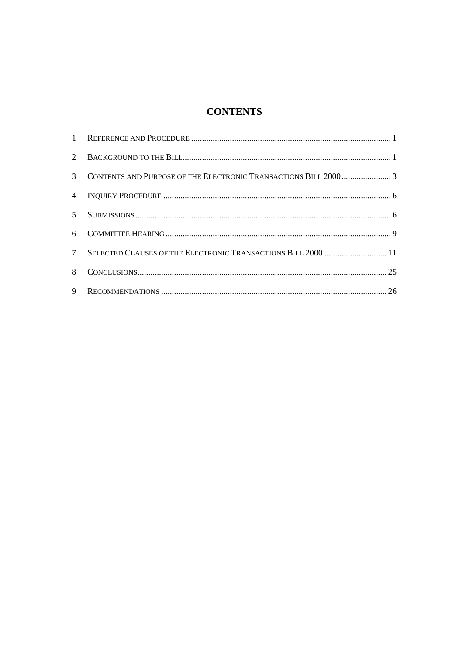## **CONTENTS**

| $7\overline{ }$ | SELECTED CLAUSES OF THE ELECTRONIC TRANSACTIONS BILL 2000  11 |  |
|-----------------|---------------------------------------------------------------|--|
| 8               |                                                               |  |
| 9               |                                                               |  |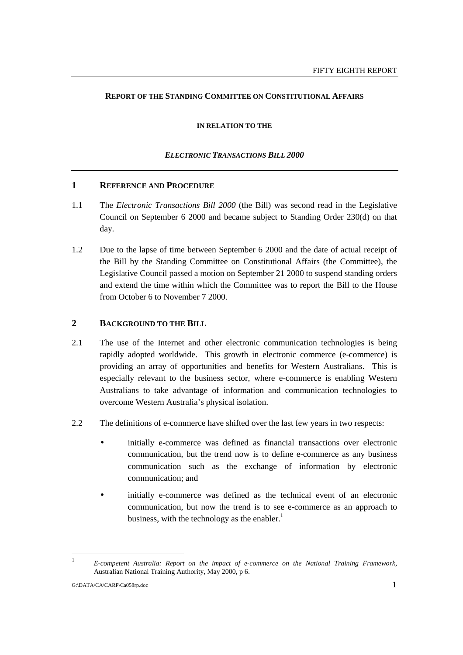#### **REPORT OF THE STANDING COMMITTEE ON CONSTITUTIONAL AFFAIRS**

#### **IN RELATION TO THE**

#### *ELECTRONIC TRANSACTIONS BILL 2000*

#### **1 REFERENCE AND PROCEDURE**

- 1.1 The *Electronic Transactions Bill 2000* (the Bill) was second read in the Legislative Council on September 6 2000 and became subject to Standing Order 230(d) on that day.
- 1.2 Due to the lapse of time between September 6 2000 and the date of actual receipt of the Bill by the Standing Committee on Constitutional Affairs (the Committee), the Legislative Council passed a motion on September 21 2000 to suspend standing orders and extend the time within which the Committee was to report the Bill to the House from October 6 to November 7 2000.

## **2 BACKGROUND TO THE BILL**

- 2.1 The use of the Internet and other electronic communication technologies is being rapidly adopted worldwide. This growth in electronic commerce (e-commerce) is providing an array of opportunities and benefits for Western Australians. This is especially relevant to the business sector, where e-commerce is enabling Western Australians to take advantage of information and communication technologies to overcome Western Australia's physical isolation.
- 2.2 The definitions of e-commerce have shifted over the last few years in two respects:
	- initially e-commerce was defined as financial transactions over electronic communication, but the trend now is to define e-commerce as any business communication such as the exchange of information by electronic communication; and
	- initially e-commerce was defined as the technical event of an electronic communication, but now the trend is to see e-commerce as an approach to business, with the technology as the enabler. $<sup>1</sup>$ </sup>

 $\overline{1}$ <sup>1</sup> *E-competent Australia: Report on the impact of e-commerce on the National Training Framework,* Australian National Training Authority, May 2000, p 6.

G:\DATA\CA\CARP\Ca058rp.doc 1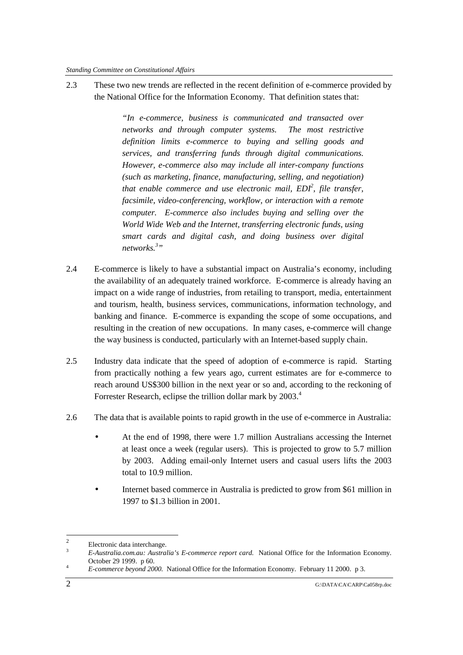2.3 These two new trends are reflected in the recent definition of e-commerce provided by the National Office for the Information Economy. That definition states that:

> *"In e-commerce, business is communicated and transacted over networks and through computer systems. The most restrictive definition limits e-commerce to buying and selling goods and services, and transferring funds through digital communications. However, e-commerce also may include all inter-company functions (such as marketing, finance, manufacturing, selling, and negotiation)* that enable commerce and use electronic mail, EDI<sup>2</sup>, file transfer, *facsimile, video-conferencing, workflow, or interaction with a remote computer. E-commerce also includes buying and selling over the World Wide Web and the Internet, transferring electronic funds, using smart cards and digital cash, and doing business over digital networks.3 "*

- 2.4 E-commerce is likely to have a substantial impact on Australia's economy, including the availability of an adequately trained workforce. E-commerce is already having an impact on a wide range of industries, from retailing to transport, media, entertainment and tourism, health, business services, communications, information technology, and banking and finance. E-commerce is expanding the scope of some occupations, and resulting in the creation of new occupations. In many cases, e-commerce will change the way business is conducted, particularly with an Internet-based supply chain.
- 2.5 Industry data indicate that the speed of adoption of e-commerce is rapid. Starting from practically nothing a few years ago, current estimates are for e-commerce to reach around US\$300 billion in the next year or so and, according to the reckoning of Forrester Research, eclipse the trillion dollar mark by 2003.<sup>4</sup>
- 2.6 The data that is available points to rapid growth in the use of e-commerce in Australia:
	- At the end of 1998, there were 1.7 million Australians accessing the Internet at least once a week (regular users). This is projected to grow to 5.7 million by 2003. Adding email-only Internet users and casual users lifts the 2003 total to 10.9 million.
	- Internet based commerce in Australia is predicted to grow from \$61 million in 1997 to \$1.3 billion in 2001.

 $\overline{c}$ <sup>2</sup> Electronic data interchange.

<sup>3</sup> *E-Australia.com.au: Australia's E-commerce report card.* National Office for the Information Economy. October 29 1999. p 60. <sup>4</sup> *E-commerce beyond 2000.* National Office for the Information Economy. February 11 2000. p 3.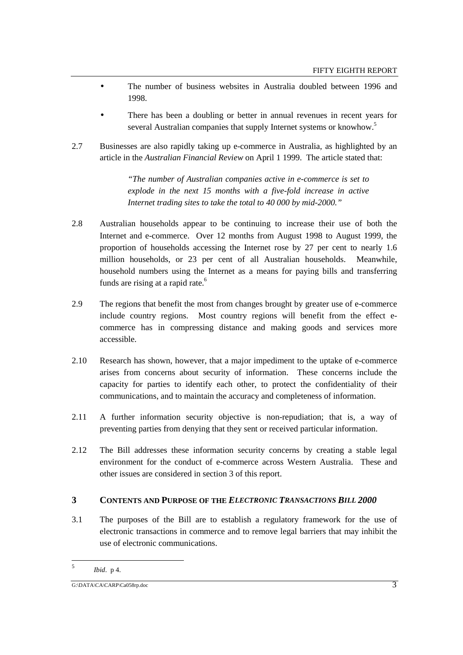- The number of business websites in Australia doubled between 1996 and 1998.
- There has been a doubling or better in annual revenues in recent years for several Australian companies that supply Internet systems or knowhow.<sup>5</sup>
- 2.7 Businesses are also rapidly taking up e-commerce in Australia, as highlighted by an article in the *Australian Financial Review* on April 1 1999. The article stated that:

*"The number of Australian companies active in e-commerce is set to explode in the next 15 months with a five-fold increase in active Internet trading sites to take the total to 40 000 by mid-2000."*

- 2.8 Australian households appear to be continuing to increase their use of both the Internet and e-commerce. Over 12 months from August 1998 to August 1999, the proportion of households accessing the Internet rose by 27 per cent to nearly 1.6 million households, or 23 per cent of all Australian households. Meanwhile, household numbers using the Internet as a means for paying bills and transferring funds are rising at a rapid rate.<sup>6</sup>
- 2.9 The regions that benefit the most from changes brought by greater use of e-commerce include country regions. Most country regions will benefit from the effect ecommerce has in compressing distance and making goods and services more accessible.
- 2.10 Research has shown, however, that a major impediment to the uptake of e-commerce arises from concerns about security of information. These concerns include the capacity for parties to identify each other, to protect the confidentiality of their communications, and to maintain the accuracy and completeness of information.
- 2.11 A further information security objective is non-repudiation; that is, a way of preventing parties from denying that they sent or received particular information.
- 2.12 The Bill addresses these information security concerns by creating a stable legal environment for the conduct of e-commerce across Western Australia. These and other issues are considered in section 3 of this report.

## **3 CONTENTS AND PURPOSE OF THE** *ELECTRONIC TRANSACTIONS BILL 2000*

3.1 The purposes of the Bill are to establish a regulatory framework for the use of electronic transactions in commerce and to remove legal barriers that may inhibit the use of electronic communications.

 $\overline{5}$ <sup>5</sup> *Ibid*. p 4.

 $G:\Delta\Gamma\rightarrow\Delta\Gamma$  G:\DATA\CA\CARP\Ca058rp.doc 3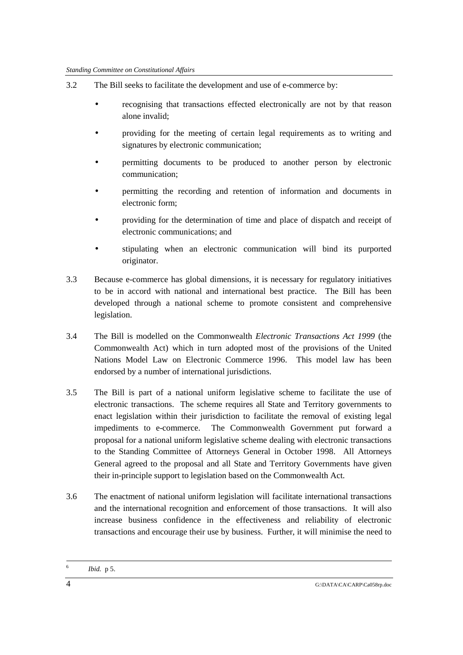- 3.2 The Bill seeks to facilitate the development and use of e-commerce by:
	- recognising that transactions effected electronically are not by that reason alone invalid;
	- providing for the meeting of certain legal requirements as to writing and signatures by electronic communication;
	- permitting documents to be produced to another person by electronic communication;
	- permitting the recording and retention of information and documents in electronic form;
	- providing for the determination of time and place of dispatch and receipt of electronic communications; and
	- stipulating when an electronic communication will bind its purported originator.
- 3.3 Because e-commerce has global dimensions, it is necessary for regulatory initiatives to be in accord with national and international best practice. The Bill has been developed through a national scheme to promote consistent and comprehensive legislation.
- 3.4 The Bill is modelled on the Commonwealth *Electronic Transactions Act 1999* (the Commonwealth Act) which in turn adopted most of the provisions of the United Nations Model Law on Electronic Commerce 1996. This model law has been endorsed by a number of international jurisdictions.
- 3.5 The Bill is part of a national uniform legislative scheme to facilitate the use of electronic transactions. The scheme requires all State and Territory governments to enact legislation within their jurisdiction to facilitate the removal of existing legal impediments to e-commerce. The Commonwealth Government put forward a proposal for a national uniform legislative scheme dealing with electronic transactions to the Standing Committee of Attorneys General in October 1998. All Attorneys General agreed to the proposal and all State and Territory Governments have given their in-principle support to legislation based on the Commonwealth Act.
- 3.6 The enactment of national uniform legislation will facilitate international transactions and the international recognition and enforcement of those transactions. It will also increase business confidence in the effectiveness and reliability of electronic transactions and encourage their use by business. Further, it will minimise the need to

*Ibid.* p 5.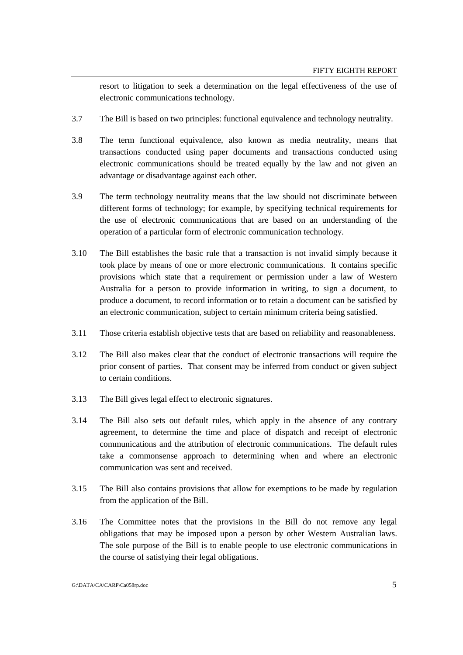resort to litigation to seek a determination on the legal effectiveness of the use of electronic communications technology.

- 3.7 The Bill is based on two principles: functional equivalence and technology neutrality.
- 3.8 The term functional equivalence, also known as media neutrality, means that transactions conducted using paper documents and transactions conducted using electronic communications should be treated equally by the law and not given an advantage or disadvantage against each other.
- 3.9 The term technology neutrality means that the law should not discriminate between different forms of technology; for example, by specifying technical requirements for the use of electronic communications that are based on an understanding of the operation of a particular form of electronic communication technology.
- 3.10 The Bill establishes the basic rule that a transaction is not invalid simply because it took place by means of one or more electronic communications. It contains specific provisions which state that a requirement or permission under a law of Western Australia for a person to provide information in writing, to sign a document, to produce a document, to record information or to retain a document can be satisfied by an electronic communication, subject to certain minimum criteria being satisfied.
- 3.11 Those criteria establish objective tests that are based on reliability and reasonableness.
- 3.12 The Bill also makes clear that the conduct of electronic transactions will require the prior consent of parties. That consent may be inferred from conduct or given subject to certain conditions.
- 3.13 The Bill gives legal effect to electronic signatures.
- 3.14 The Bill also sets out default rules, which apply in the absence of any contrary agreement, to determine the time and place of dispatch and receipt of electronic communications and the attribution of electronic communications. The default rules take a commonsense approach to determining when and where an electronic communication was sent and received.
- 3.15 The Bill also contains provisions that allow for exemptions to be made by regulation from the application of the Bill.
- 3.16 The Committee notes that the provisions in the Bill do not remove any legal obligations that may be imposed upon a person by other Western Australian laws. The sole purpose of the Bill is to enable people to use electronic communications in the course of satisfying their legal obligations.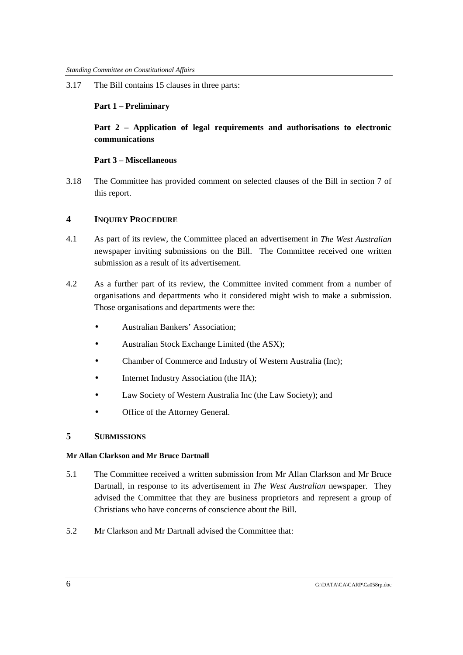3.17 The Bill contains 15 clauses in three parts:

## **Part 1 – Preliminary**

## **Part 2 – Application of legal requirements and authorisations to electronic communications**

## **Part 3 – Miscellaneous**

3.18 The Committee has provided comment on selected clauses of the Bill in section 7 of this report.

## **4 INQUIRY PROCEDURE**

- 4.1 As part of its review, the Committee placed an advertisement in *The West Australian* newspaper inviting submissions on the Bill. The Committee received one written submission as a result of its advertisement.
- 4.2 As a further part of its review, the Committee invited comment from a number of organisations and departments who it considered might wish to make a submission. Those organisations and departments were the:
	- Australian Bankers' Association;
	- Australian Stock Exchange Limited (the ASX);
	- Chamber of Commerce and Industry of Western Australia (Inc);
	- Internet Industry Association (the IIA);
	- Law Society of Western Australia Inc (the Law Society); and
	- Office of the Attorney General.

## **5 SUBMISSIONS**

#### **Mr Allan Clarkson and Mr Bruce Dartnall**

- 5.1 The Committee received a written submission from Mr Allan Clarkson and Mr Bruce Dartnall, in response to its advertisement in *The West Australian* newspaper. They advised the Committee that they are business proprietors and represent a group of Christians who have concerns of conscience about the Bill.
- 5.2 Mr Clarkson and Mr Dartnall advised the Committee that: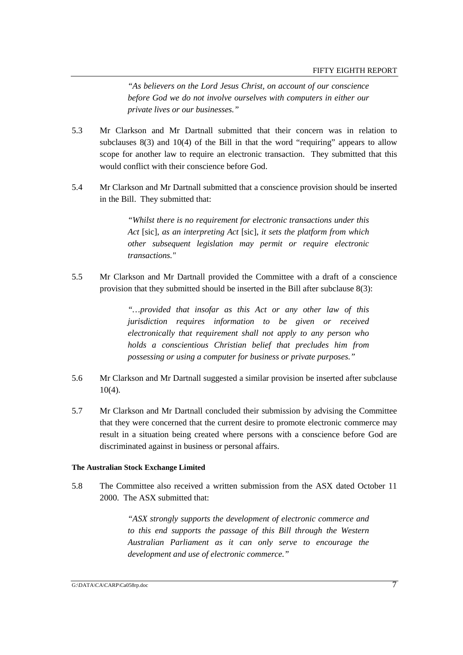*"As believers on the Lord Jesus Christ, on account of our conscience before God we do not involve ourselves with computers in either our private lives or our businesses."*

- 5.3 Mr Clarkson and Mr Dartnall submitted that their concern was in relation to subclauses 8(3) and 10(4) of the Bill in that the word "requiring" appears to allow scope for another law to require an electronic transaction. They submitted that this would conflict with their conscience before God.
- 5.4 Mr Clarkson and Mr Dartnall submitted that a conscience provision should be inserted in the Bill. They submitted that:

*"Whilst there is no requirement for electronic transactions under this Act* [sic], *as an interpreting Act* [sic], *it sets the platform from which other subsequent legislation may permit or require electronic transactions."*

5.5 Mr Clarkson and Mr Dartnall provided the Committee with a draft of a conscience provision that they submitted should be inserted in the Bill after subclause 8(3):

> *"…provided that insofar as this Act or any other law of this jurisdiction requires information to be given or received electronically that requirement shall not apply to any person who holds a conscientious Christian belief that precludes him from possessing or using a computer for business or private purposes."*

- 5.6 Mr Clarkson and Mr Dartnall suggested a similar provision be inserted after subclause 10(4).
- 5.7 Mr Clarkson and Mr Dartnall concluded their submission by advising the Committee that they were concerned that the current desire to promote electronic commerce may result in a situation being created where persons with a conscience before God are discriminated against in business or personal affairs.

#### **The Australian Stock Exchange Limited**

5.8 The Committee also received a written submission from the ASX dated October 11 2000. The ASX submitted that:

> *"ASX strongly supports the development of electronic commerce and to this end supports the passage of this Bill through the Western Australian Parliament as it can only serve to encourage the development and use of electronic commerce."*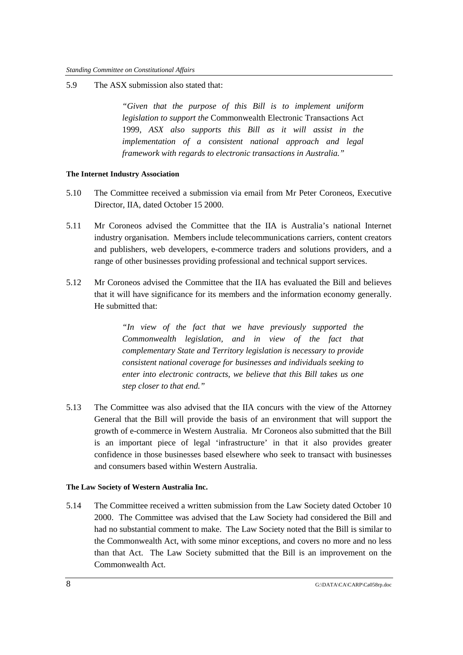5.9 The ASX submission also stated that:

*"Given that the purpose of this Bill is to implement uniform legislation to support the* Commonwealth Electronic Transactions Act 1999, *ASX also supports this Bill as it will assist in the implementation of a consistent national approach and legal framework with regards to electronic transactions in Australia."*

#### **The Internet Industry Association**

- 5.10 The Committee received a submission via email from Mr Peter Coroneos, Executive Director, IIA, dated October 15 2000.
- 5.11 Mr Coroneos advised the Committee that the IIA is Australia's national Internet industry organisation. Members include telecommunications carriers, content creators and publishers, web developers, e-commerce traders and solutions providers, and a range of other businesses providing professional and technical support services.
- 5.12 Mr Coroneos advised the Committee that the IIA has evaluated the Bill and believes that it will have significance for its members and the information economy generally. He submitted that:

*"In view of the fact that we have previously supported the Commonwealth legislation, and in view of the fact that complementary State and Territory legislation is necessary to provide consistent national coverage for businesses and individuals seeking to enter into electronic contracts, we believe that this Bill takes us one step closer to that end."*

5.13 The Committee was also advised that the IIA concurs with the view of the Attorney General that the Bill will provide the basis of an environment that will support the growth of e-commerce in Western Australia. Mr Coroneos also submitted that the Bill is an important piece of legal 'infrastructure' in that it also provides greater confidence in those businesses based elsewhere who seek to transact with businesses and consumers based within Western Australia.

#### **The Law Society of Western Australia Inc.**

5.14 The Committee received a written submission from the Law Society dated October 10 2000. The Committee was advised that the Law Society had considered the Bill and had no substantial comment to make. The Law Society noted that the Bill is similar to the Commonwealth Act, with some minor exceptions, and covers no more and no less than that Act. The Law Society submitted that the Bill is an improvement on the Commonwealth Act.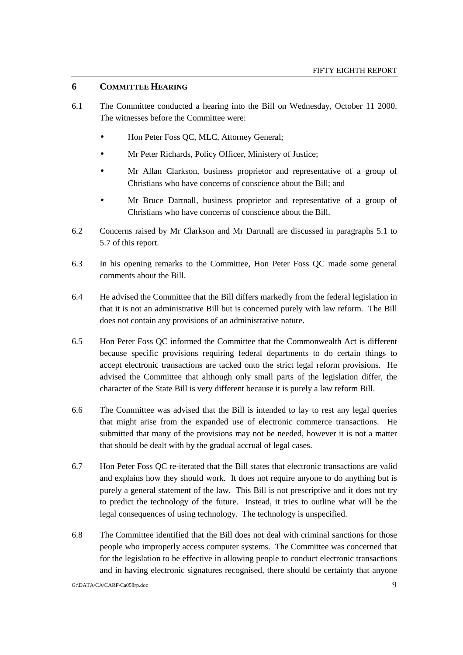## **6 COMMITTEE HEARING**

- 6.1 The Committee conducted a hearing into the Bill on Wednesday, October 11 2000. The witnesses before the Committee were:
	- Hon Peter Foss QC, MLC, Attorney General;
	- Mr Peter Richards, Policy Officer, Ministery of Justice;
	- Mr Allan Clarkson, business proprietor and representative of a group of Christians who have concerns of conscience about the Bill; and
	- Mr Bruce Dartnall, business proprietor and representative of a group of Christians who have concerns of conscience about the Bill.
- 6.2 Concerns raised by Mr Clarkson and Mr Dartnall are discussed in paragraphs 5.1 to 5.7 of this report.
- 6.3 In his opening remarks to the Committee, Hon Peter Foss QC made some general comments about the Bill.
- 6.4 He advised the Committee that the Bill differs markedly from the federal legislation in that it is not an administrative Bill but is concerned purely with law reform. The Bill does not contain any provisions of an administrative nature.
- 6.5 Hon Peter Foss QC informed the Committee that the Commonwealth Act is different because specific provisions requiring federal departments to do certain things to accept electronic transactions are tacked onto the strict legal reform provisions. He advised the Committee that although only small parts of the legislation differ, the character of the State Bill is very different because it is purely a law reform Bill.
- 6.6 The Committee was advised that the Bill is intended to lay to rest any legal queries that might arise from the expanded use of electronic commerce transactions. He submitted that many of the provisions may not be needed, however it is not a matter that should be dealt with by the gradual accrual of legal cases.
- 6.7 Hon Peter Foss QC re-iterated that the Bill states that electronic transactions are valid and explains how they should work. It does not require anyone to do anything but is purely a general statement of the law. This Bill is not prescriptive and it does not try to predict the technology of the future. Instead, it tries to outline what will be the legal consequences of using technology. The technology is unspecified.
- 6.8 The Committee identified that the Bill does not deal with criminal sanctions for those people who improperly access computer systems. The Committee was concerned that for the legislation to be effective in allowing people to conduct electronic transactions and in having electronic signatures recognised, there should be certainty that anyone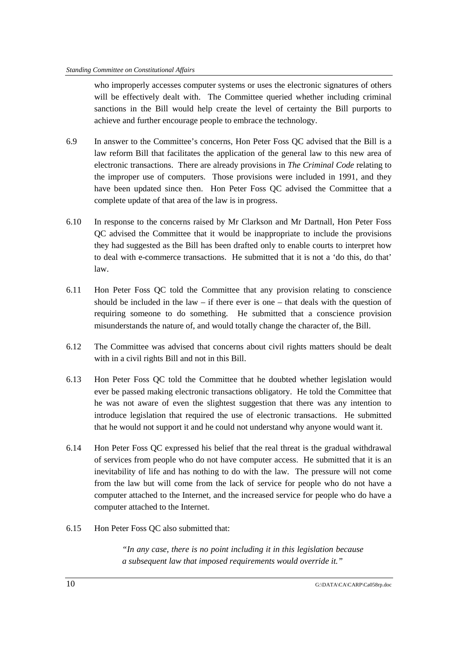who improperly accesses computer systems or uses the electronic signatures of others will be effectively dealt with. The Committee queried whether including criminal sanctions in the Bill would help create the level of certainty the Bill purports to achieve and further encourage people to embrace the technology.

- 6.9 In answer to the Committee's concerns, Hon Peter Foss QC advised that the Bill is a law reform Bill that facilitates the application of the general law to this new area of electronic transactions. There are already provisions in *The Criminal Code* relating to the improper use of computers. Those provisions were included in 1991, and they have been updated since then. Hon Peter Foss QC advised the Committee that a complete update of that area of the law is in progress.
- 6.10 In response to the concerns raised by Mr Clarkson and Mr Dartnall, Hon Peter Foss QC advised the Committee that it would be inappropriate to include the provisions they had suggested as the Bill has been drafted only to enable courts to interpret how to deal with e-commerce transactions. He submitted that it is not a 'do this, do that' law.
- 6.11 Hon Peter Foss QC told the Committee that any provision relating to conscience should be included in the law – if there ever is one – that deals with the question of requiring someone to do something. He submitted that a conscience provision misunderstands the nature of, and would totally change the character of, the Bill.
- 6.12 The Committee was advised that concerns about civil rights matters should be dealt with in a civil rights Bill and not in this Bill.
- 6.13 Hon Peter Foss QC told the Committee that he doubted whether legislation would ever be passed making electronic transactions obligatory. He told the Committee that he was not aware of even the slightest suggestion that there was any intention to introduce legislation that required the use of electronic transactions. He submitted that he would not support it and he could not understand why anyone would want it.
- 6.14 Hon Peter Foss QC expressed his belief that the real threat is the gradual withdrawal of services from people who do not have computer access. He submitted that it is an inevitability of life and has nothing to do with the law. The pressure will not come from the law but will come from the lack of service for people who do not have a computer attached to the Internet, and the increased service for people who do have a computer attached to the Internet.
- 6.15 Hon Peter Foss QC also submitted that:

*"In any case, there is no point including it in this legislation because a subsequent law that imposed requirements would override it."*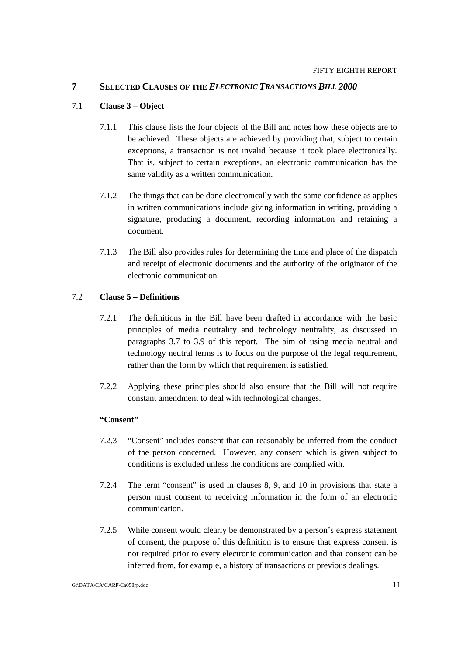## **7 SELECTED CLAUSES OF THE** *ELECTRONIC TRANSACTIONS BILL 2000*

## 7.1 **Clause 3 – Object**

- 7.1.1 This clause lists the four objects of the Bill and notes how these objects are to be achieved. These objects are achieved by providing that, subject to certain exceptions, a transaction is not invalid because it took place electronically. That is, subject to certain exceptions, an electronic communication has the same validity as a written communication.
- 7.1.2 The things that can be done electronically with the same confidence as applies in written communications include giving information in writing, providing a signature, producing a document, recording information and retaining a document.
- 7.1.3 The Bill also provides rules for determining the time and place of the dispatch and receipt of electronic documents and the authority of the originator of the electronic communication.

## 7.2 **Clause 5 – Definitions**

- 7.2.1 The definitions in the Bill have been drafted in accordance with the basic principles of media neutrality and technology neutrality, as discussed in paragraphs 3.7 to 3.9 of this report. The aim of using media neutral and technology neutral terms is to focus on the purpose of the legal requirement, rather than the form by which that requirement is satisfied.
- 7.2.2 Applying these principles should also ensure that the Bill will not require constant amendment to deal with technological changes.

#### **"Consent"**

- 7.2.3 "Consent" includes consent that can reasonably be inferred from the conduct of the person concerned. However, any consent which is given subject to conditions is excluded unless the conditions are complied with.
- 7.2.4 The term "consent" is used in clauses 8, 9, and 10 in provisions that state a person must consent to receiving information in the form of an electronic communication.
- 7.2.5 While consent would clearly be demonstrated by a person's express statement of consent, the purpose of this definition is to ensure that express consent is not required prior to every electronic communication and that consent can be inferred from, for example, a history of transactions or previous dealings.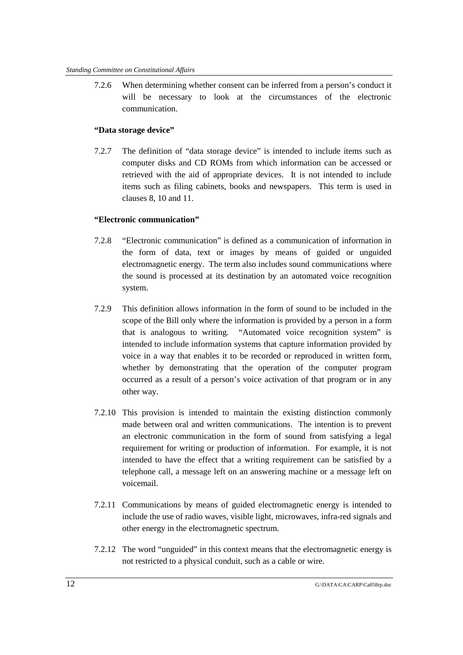7.2.6 When determining whether consent can be inferred from a person's conduct it will be necessary to look at the circumstances of the electronic communication.

## **"Data storage device"**

7.2.7 The definition of "data storage device" is intended to include items such as computer disks and CD ROMs from which information can be accessed or retrieved with the aid of appropriate devices. It is not intended to include items such as filing cabinets, books and newspapers. This term is used in clauses 8, 10 and 11.

## **"Electronic communication"**

- 7.2.8 "Electronic communication" is defined as a communication of information in the form of data, text or images by means of guided or unguided electromagnetic energy. The term also includes sound communications where the sound is processed at its destination by an automated voice recognition system.
- 7.2.9 This definition allows information in the form of sound to be included in the scope of the Bill only where the information is provided by a person in a form that is analogous to writing. "Automated voice recognition system" is intended to include information systems that capture information provided by voice in a way that enables it to be recorded or reproduced in written form, whether by demonstrating that the operation of the computer program occurred as a result of a person's voice activation of that program or in any other way.
- 7.2.10 This provision is intended to maintain the existing distinction commonly made between oral and written communications. The intention is to prevent an electronic communication in the form of sound from satisfying a legal requirement for writing or production of information. For example, it is not intended to have the effect that a writing requirement can be satisfied by a telephone call, a message left on an answering machine or a message left on voicemail.
- 7.2.11 Communications by means of guided electromagnetic energy is intended to include the use of radio waves, visible light, microwaves, infra-red signals and other energy in the electromagnetic spectrum.
- 7.2.12 The word "unguided" in this context means that the electromagnetic energy is not restricted to a physical conduit, such as a cable or wire.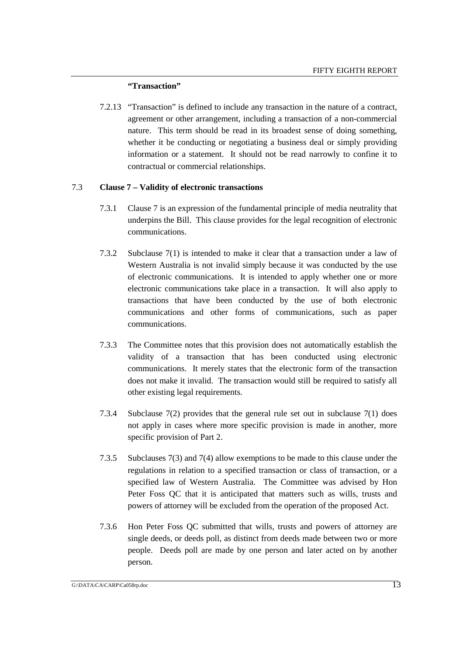#### **"Transaction"**

7.2.13 "Transaction" is defined to include any transaction in the nature of a contract, agreement or other arrangement, including a transaction of a non-commercial nature. This term should be read in its broadest sense of doing something, whether it be conducting or negotiating a business deal or simply providing information or a statement. It should not be read narrowly to confine it to contractual or commercial relationships.

#### 7.3 **Clause 7 – Validity of electronic transactions**

- 7.3.1 Clause 7 is an expression of the fundamental principle of media neutrality that underpins the Bill. This clause provides for the legal recognition of electronic communications.
- 7.3.2 Subclause 7(1) is intended to make it clear that a transaction under a law of Western Australia is not invalid simply because it was conducted by the use of electronic communications. It is intended to apply whether one or more electronic communications take place in a transaction. It will also apply to transactions that have been conducted by the use of both electronic communications and other forms of communications, such as paper communications.
- 7.3.3 The Committee notes that this provision does not automatically establish the validity of a transaction that has been conducted using electronic communications. It merely states that the electronic form of the transaction does not make it invalid. The transaction would still be required to satisfy all other existing legal requirements.
- 7.3.4 Subclause 7(2) provides that the general rule set out in subclause 7(1) does not apply in cases where more specific provision is made in another, more specific provision of Part 2.
- 7.3.5 Subclauses 7(3) and 7(4) allow exemptions to be made to this clause under the regulations in relation to a specified transaction or class of transaction, or a specified law of Western Australia. The Committee was advised by Hon Peter Foss QC that it is anticipated that matters such as wills, trusts and powers of attorney will be excluded from the operation of the proposed Act.
- 7.3.6 Hon Peter Foss QC submitted that wills, trusts and powers of attorney are single deeds, or deeds poll, as distinct from deeds made between two or more people. Deeds poll are made by one person and later acted on by another person.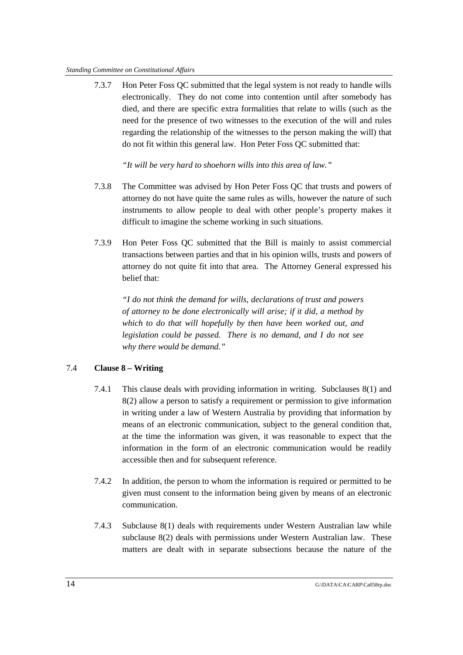#### *Standing Committee on Constitutional Affairs*

7.3.7 Hon Peter Foss QC submitted that the legal system is not ready to handle wills electronically. They do not come into contention until after somebody has died, and there are specific extra formalities that relate to wills (such as the need for the presence of two witnesses to the execution of the will and rules regarding the relationship of the witnesses to the person making the will) that do not fit within this general law. Hon Peter Foss QC submitted that:

*"It will be very hard to shoehorn wills into this area of law."*

- 7.3.8 The Committee was advised by Hon Peter Foss QC that trusts and powers of attorney do not have quite the same rules as wills, however the nature of such instruments to allow people to deal with other people's property makes it difficult to imagine the scheme working in such situations.
- 7.3.9 Hon Peter Foss QC submitted that the Bill is mainly to assist commercial transactions between parties and that in his opinion wills, trusts and powers of attorney do not quite fit into that area. The Attorney General expressed his belief that:

*"I do not think the demand for wills, declarations of trust and powers of attorney to be done electronically will arise; if it did, a method by which to do that will hopefully by then have been worked out, and legislation could be passed. There is no demand, and I do not see why there would be demand."*

## 7.4 **Clause 8 – Writing**

- 7.4.1 This clause deals with providing information in writing. Subclauses 8(1) and 8(2) allow a person to satisfy a requirement or permission to give information in writing under a law of Western Australia by providing that information by means of an electronic communication, subject to the general condition that, at the time the information was given, it was reasonable to expect that the information in the form of an electronic communication would be readily accessible then and for subsequent reference.
- 7.4.2 In addition, the person to whom the information is required or permitted to be given must consent to the information being given by means of an electronic communication.
- 7.4.3 Subclause 8(1) deals with requirements under Western Australian law while subclause 8(2) deals with permissions under Western Australian law. These matters are dealt with in separate subsections because the nature of the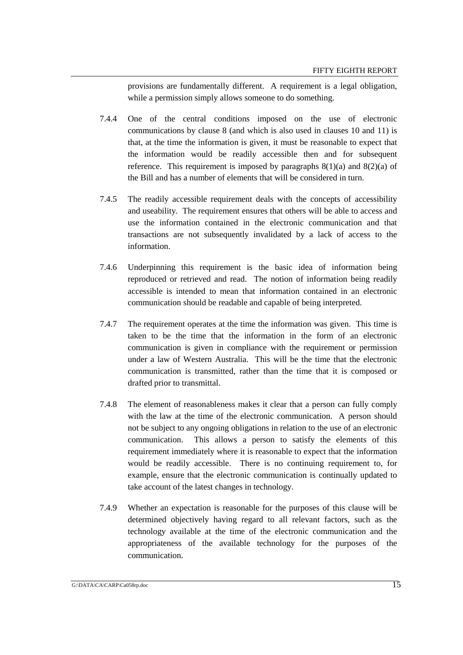provisions are fundamentally different. A requirement is a legal obligation, while a permission simply allows someone to do something.

- 7.4.4 One of the central conditions imposed on the use of electronic communications by clause 8 (and which is also used in clauses 10 and 11) is that, at the time the information is given, it must be reasonable to expect that the information would be readily accessible then and for subsequent reference. This requirement is imposed by paragraphs  $8(1)(a)$  and  $8(2)(a)$  of the Bill and has a number of elements that will be considered in turn.
- 7.4.5 The readily accessible requirement deals with the concepts of accessibility and useability. The requirement ensures that others will be able to access and use the information contained in the electronic communication and that transactions are not subsequently invalidated by a lack of access to the information.
- 7.4.6 Underpinning this requirement is the basic idea of information being reproduced or retrieved and read. The notion of information being readily accessible is intended to mean that information contained in an electronic communication should be readable and capable of being interpreted.
- 7.4.7 The requirement operates at the time the information was given. This time is taken to be the time that the information in the form of an electronic communication is given in compliance with the requirement or permission under a law of Western Australia. This will be the time that the electronic communication is transmitted, rather than the time that it is composed or drafted prior to transmittal.
- 7.4.8 The element of reasonableness makes it clear that a person can fully comply with the law at the time of the electronic communication. A person should not be subject to any ongoing obligations in relation to the use of an electronic communication. This allows a person to satisfy the elements of this requirement immediately where it is reasonable to expect that the information would be readily accessible. There is no continuing requirement to, for example, ensure that the electronic communication is continually updated to take account of the latest changes in technology.
- 7.4.9 Whether an expectation is reasonable for the purposes of this clause will be determined objectively having regard to all relevant factors, such as the technology available at the time of the electronic communication and the appropriateness of the available technology for the purposes of the communication.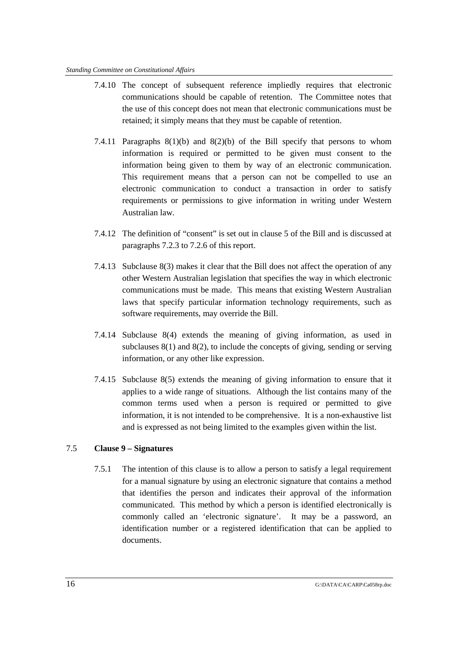#### *Standing Committee on Constitutional Affairs*

- 7.4.10 The concept of subsequent reference impliedly requires that electronic communications should be capable of retention. The Committee notes that the use of this concept does not mean that electronic communications must be retained; it simply means that they must be capable of retention.
- 7.4.11 Paragraphs  $8(1)(b)$  and  $8(2)(b)$  of the Bill specify that persons to whom information is required or permitted to be given must consent to the information being given to them by way of an electronic communication. This requirement means that a person can not be compelled to use an electronic communication to conduct a transaction in order to satisfy requirements or permissions to give information in writing under Western Australian law.
- 7.4.12 The definition of "consent" is set out in clause 5 of the Bill and is discussed at paragraphs 7.2.3 to 7.2.6 of this report.
- 7.4.13 Subclause 8(3) makes it clear that the Bill does not affect the operation of any other Western Australian legislation that specifies the way in which electronic communications must be made. This means that existing Western Australian laws that specify particular information technology requirements, such as software requirements, may override the Bill.
- 7.4.14 Subclause 8(4) extends the meaning of giving information, as used in subclauses 8(1) and 8(2), to include the concepts of giving, sending or serving information, or any other like expression.
- 7.4.15 Subclause 8(5) extends the meaning of giving information to ensure that it applies to a wide range of situations. Although the list contains many of the common terms used when a person is required or permitted to give information, it is not intended to be comprehensive. It is a non-exhaustive list and is expressed as not being limited to the examples given within the list.

## 7.5 **Clause 9 – Signatures**

7.5.1 The intention of this clause is to allow a person to satisfy a legal requirement for a manual signature by using an electronic signature that contains a method that identifies the person and indicates their approval of the information communicated. This method by which a person is identified electronically is commonly called an 'electronic signature'. It may be a password, an identification number or a registered identification that can be applied to documents.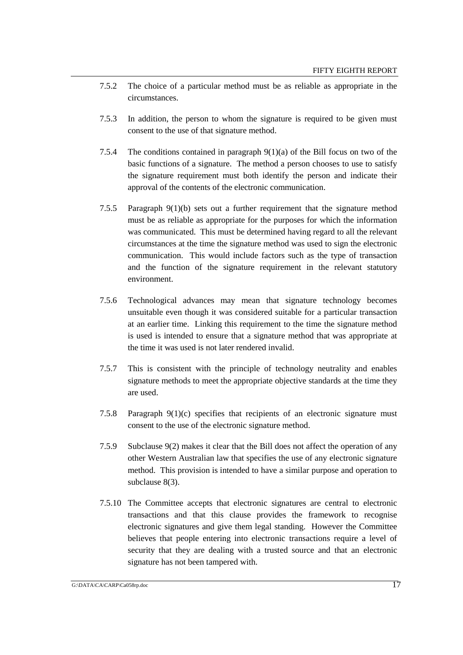- 7.5.2 The choice of a particular method must be as reliable as appropriate in the circumstances.
- 7.5.3 In addition, the person to whom the signature is required to be given must consent to the use of that signature method.
- 7.5.4 The conditions contained in paragraph 9(1)(a) of the Bill focus on two of the basic functions of a signature. The method a person chooses to use to satisfy the signature requirement must both identify the person and indicate their approval of the contents of the electronic communication.
- 7.5.5 Paragraph 9(1)(b) sets out a further requirement that the signature method must be as reliable as appropriate for the purposes for which the information was communicated. This must be determined having regard to all the relevant circumstances at the time the signature method was used to sign the electronic communication. This would include factors such as the type of transaction and the function of the signature requirement in the relevant statutory environment.
- 7.5.6 Technological advances may mean that signature technology becomes unsuitable even though it was considered suitable for a particular transaction at an earlier time. Linking this requirement to the time the signature method is used is intended to ensure that a signature method that was appropriate at the time it was used is not later rendered invalid.
- 7.5.7 This is consistent with the principle of technology neutrality and enables signature methods to meet the appropriate objective standards at the time they are used.
- 7.5.8 Paragraph 9(1)(c) specifies that recipients of an electronic signature must consent to the use of the electronic signature method.
- 7.5.9 Subclause 9(2) makes it clear that the Bill does not affect the operation of any other Western Australian law that specifies the use of any electronic signature method. This provision is intended to have a similar purpose and operation to subclause 8(3).
- 7.5.10 The Committee accepts that electronic signatures are central to electronic transactions and that this clause provides the framework to recognise electronic signatures and give them legal standing. However the Committee believes that people entering into electronic transactions require a level of security that they are dealing with a trusted source and that an electronic signature has not been tampered with.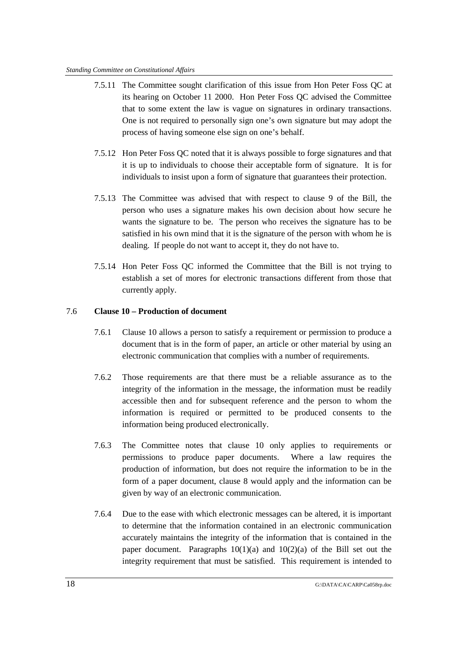#### *Standing Committee on Constitutional Affairs*

- 7.5.11 The Committee sought clarification of this issue from Hon Peter Foss QC at its hearing on October 11 2000. Hon Peter Foss QC advised the Committee that to some extent the law is vague on signatures in ordinary transactions. One is not required to personally sign one's own signature but may adopt the process of having someone else sign on one's behalf.
- 7.5.12 Hon Peter Foss QC noted that it is always possible to forge signatures and that it is up to individuals to choose their acceptable form of signature. It is for individuals to insist upon a form of signature that guarantees their protection.
- 7.5.13 The Committee was advised that with respect to clause 9 of the Bill, the person who uses a signature makes his own decision about how secure he wants the signature to be. The person who receives the signature has to be satisfied in his own mind that it is the signature of the person with whom he is dealing. If people do not want to accept it, they do not have to.
- 7.5.14 Hon Peter Foss QC informed the Committee that the Bill is not trying to establish a set of mores for electronic transactions different from those that currently apply.

## 7.6 **Clause 10 – Production of document**

- 7.6.1 Clause 10 allows a person to satisfy a requirement or permission to produce a document that is in the form of paper, an article or other material by using an electronic communication that complies with a number of requirements.
- 7.6.2 Those requirements are that there must be a reliable assurance as to the integrity of the information in the message, the information must be readily accessible then and for subsequent reference and the person to whom the information is required or permitted to be produced consents to the information being produced electronically.
- 7.6.3 The Committee notes that clause 10 only applies to requirements or permissions to produce paper documents. Where a law requires the production of information, but does not require the information to be in the form of a paper document, clause 8 would apply and the information can be given by way of an electronic communication.
- 7.6.4 Due to the ease with which electronic messages can be altered, it is important to determine that the information contained in an electronic communication accurately maintains the integrity of the information that is contained in the paper document. Paragraphs  $10(1)(a)$  and  $10(2)(a)$  of the Bill set out the integrity requirement that must be satisfied. This requirement is intended to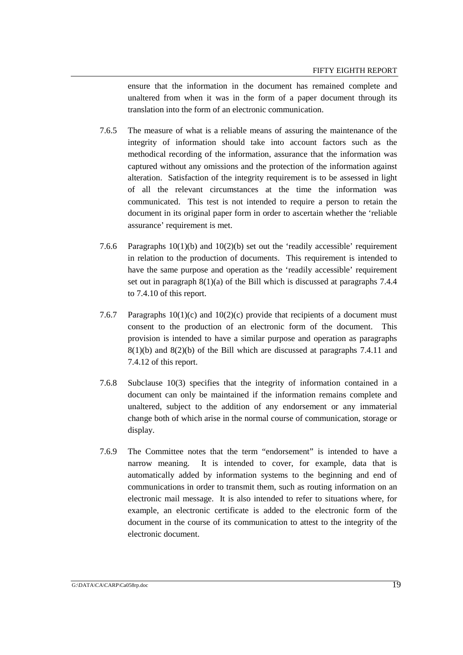ensure that the information in the document has remained complete and unaltered from when it was in the form of a paper document through its translation into the form of an electronic communication.

- 7.6.5 The measure of what is a reliable means of assuring the maintenance of the integrity of information should take into account factors such as the methodical recording of the information, assurance that the information was captured without any omissions and the protection of the information against alteration. Satisfaction of the integrity requirement is to be assessed in light of all the relevant circumstances at the time the information was communicated. This test is not intended to require a person to retain the document in its original paper form in order to ascertain whether the 'reliable assurance' requirement is met.
- 7.6.6 Paragraphs  $10(1)(b)$  and  $10(2)(b)$  set out the 'readily accessible' requirement in relation to the production of documents. This requirement is intended to have the same purpose and operation as the 'readily accessible' requirement set out in paragraph 8(1)(a) of the Bill which is discussed at paragraphs 7.4.4 to 7.4.10 of this report.
- 7.6.7 Paragraphs  $10(1)(c)$  and  $10(2)(c)$  provide that recipients of a document must consent to the production of an electronic form of the document. This provision is intended to have a similar purpose and operation as paragraphs  $8(1)(b)$  and  $8(2)(b)$  of the Bill which are discussed at paragraphs 7.4.11 and 7.4.12 of this report.
- 7.6.8 Subclause 10(3) specifies that the integrity of information contained in a document can only be maintained if the information remains complete and unaltered, subject to the addition of any endorsement or any immaterial change both of which arise in the normal course of communication, storage or display.
- 7.6.9 The Committee notes that the term "endorsement" is intended to have a narrow meaning. It is intended to cover, for example, data that is automatically added by information systems to the beginning and end of communications in order to transmit them, such as routing information on an electronic mail message. It is also intended to refer to situations where, for example, an electronic certificate is added to the electronic form of the document in the course of its communication to attest to the integrity of the electronic document.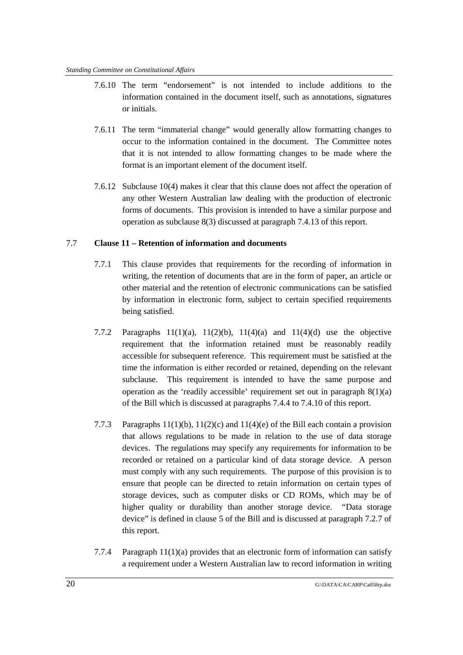- 7.6.10 The term "endorsement" is not intended to include additions to the information contained in the document itself, such as annotations, signatures or initials.
- 7.6.11 The term "immaterial change" would generally allow formatting changes to occur to the information contained in the document. The Committee notes that it is not intended to allow formatting changes to be made where the format is an important element of the document itself.
- 7.6.12 Subclause 10(4) makes it clear that this clause does not affect the operation of any other Western Australian law dealing with the production of electronic forms of documents. This provision is intended to have a similar purpose and operation as subclause 8(3) discussed at paragraph 7.4.13 of this report.

## 7.7 **Clause 11 – Retention of information and documents**

- 7.7.1 This clause provides that requirements for the recording of information in writing, the retention of documents that are in the form of paper, an article or other material and the retention of electronic communications can be satisfied by information in electronic form, subject to certain specified requirements being satisfied.
- 7.7.2 Paragraphs  $11(1)(a)$ ,  $11(2)(b)$ ,  $11(4)(a)$  and  $11(4)(d)$  use the objective requirement that the information retained must be reasonably readily accessible for subsequent reference. This requirement must be satisfied at the time the information is either recorded or retained, depending on the relevant subclause. This requirement is intended to have the same purpose and operation as the 'readily accessible' requirement set out in paragraph  $8(1)(a)$ of the Bill which is discussed at paragraphs 7.4.4 to 7.4.10 of this report.
- 7.7.3 Paragraphs 11(1)(b), 11(2)(c) and 11(4)(e) of the Bill each contain a provision that allows regulations to be made in relation to the use of data storage devices. The regulations may specify any requirements for information to be recorded or retained on a particular kind of data storage device. A person must comply with any such requirements. The purpose of this provision is to ensure that people can be directed to retain information on certain types of storage devices, such as computer disks or CD ROMs, which may be of higher quality or durability than another storage device. "Data storage device" is defined in clause 5 of the Bill and is discussed at paragraph 7.2.7 of this report.
- 7.7.4 Paragraph 11(1)(a) provides that an electronic form of information can satisfy a requirement under a Western Australian law to record information in writing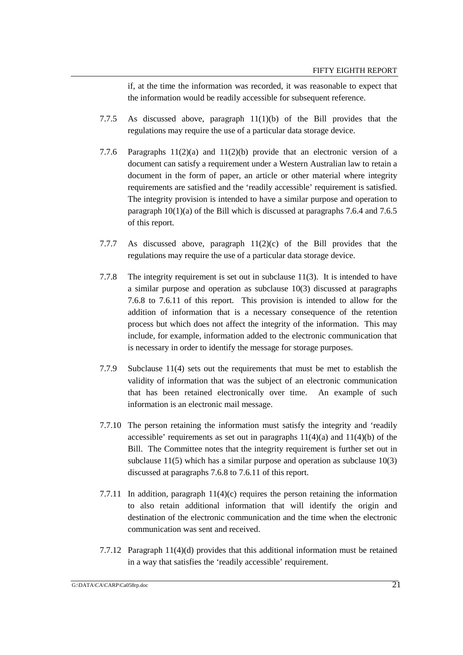if, at the time the information was recorded, it was reasonable to expect that the information would be readily accessible for subsequent reference.

- 7.7.5 As discussed above, paragraph 11(1)(b) of the Bill provides that the regulations may require the use of a particular data storage device.
- 7.7.6 Paragraphs 11(2)(a) and 11(2)(b) provide that an electronic version of a document can satisfy a requirement under a Western Australian law to retain a document in the form of paper, an article or other material where integrity requirements are satisfied and the 'readily accessible' requirement is satisfied. The integrity provision is intended to have a similar purpose and operation to paragraph  $10(1)(a)$  of the Bill which is discussed at paragraphs 7.6.4 and 7.6.5 of this report.
- 7.7.7 As discussed above, paragraph  $11(2)(c)$  of the Bill provides that the regulations may require the use of a particular data storage device.
- 7.7.8 The integrity requirement is set out in subclause 11(3). It is intended to have a similar purpose and operation as subclause 10(3) discussed at paragraphs 7.6.8 to 7.6.11 of this report. This provision is intended to allow for the addition of information that is a necessary consequence of the retention process but which does not affect the integrity of the information. This may include, for example, information added to the electronic communication that is necessary in order to identify the message for storage purposes.
- 7.7.9 Subclause 11(4) sets out the requirements that must be met to establish the validity of information that was the subject of an electronic communication that has been retained electronically over time. An example of such information is an electronic mail message.
- 7.7.10 The person retaining the information must satisfy the integrity and 'readily accessible' requirements as set out in paragraphs  $11(4)(a)$  and  $11(4)(b)$  of the Bill. The Committee notes that the integrity requirement is further set out in subclause 11(5) which has a similar purpose and operation as subclause 10(3) discussed at paragraphs 7.6.8 to 7.6.11 of this report.
- 7.7.11 In addition, paragraph  $11(4)(c)$  requires the person retaining the information to also retain additional information that will identify the origin and destination of the electronic communication and the time when the electronic communication was sent and received.
- 7.7.12 Paragraph 11(4)(d) provides that this additional information must be retained in a way that satisfies the 'readily accessible' requirement.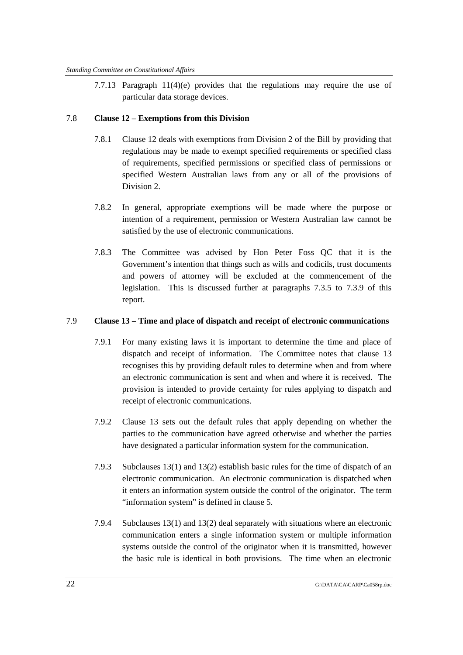7.7.13 Paragraph  $11(4)(e)$  provides that the regulations may require the use of particular data storage devices.

## 7.8 **Clause 12 – Exemptions from this Division**

- 7.8.1 Clause 12 deals with exemptions from Division 2 of the Bill by providing that regulations may be made to exempt specified requirements or specified class of requirements, specified permissions or specified class of permissions or specified Western Australian laws from any or all of the provisions of Division 2
- 7.8.2 In general, appropriate exemptions will be made where the purpose or intention of a requirement, permission or Western Australian law cannot be satisfied by the use of electronic communications.
- 7.8.3 The Committee was advised by Hon Peter Foss QC that it is the Government's intention that things such as wills and codicils, trust documents and powers of attorney will be excluded at the commencement of the legislation. This is discussed further at paragraphs 7.3.5 to 7.3.9 of this report.

## 7.9 **Clause 13 – Time and place of dispatch and receipt of electronic communications**

- 7.9.1 For many existing laws it is important to determine the time and place of dispatch and receipt of information. The Committee notes that clause 13 recognises this by providing default rules to determine when and from where an electronic communication is sent and when and where it is received. The provision is intended to provide certainty for rules applying to dispatch and receipt of electronic communications.
- 7.9.2 Clause 13 sets out the default rules that apply depending on whether the parties to the communication have agreed otherwise and whether the parties have designated a particular information system for the communication.
- 7.9.3 Subclauses 13(1) and 13(2) establish basic rules for the time of dispatch of an electronic communication. An electronic communication is dispatched when it enters an information system outside the control of the originator. The term "information system" is defined in clause 5.
- 7.9.4 Subclauses 13(1) and 13(2) deal separately with situations where an electronic communication enters a single information system or multiple information systems outside the control of the originator when it is transmitted, however the basic rule is identical in both provisions. The time when an electronic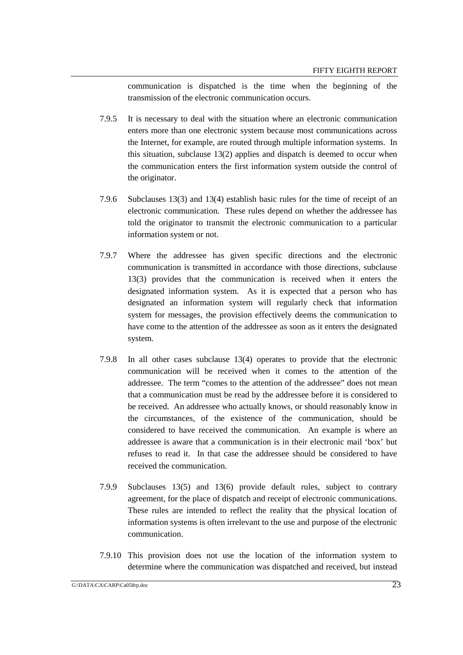communication is dispatched is the time when the beginning of the transmission of the electronic communication occurs.

- 7.9.5 It is necessary to deal with the situation where an electronic communication enters more than one electronic system because most communications across the Internet, for example, are routed through multiple information systems. In this situation, subclause 13(2) applies and dispatch is deemed to occur when the communication enters the first information system outside the control of the originator.
- 7.9.6 Subclauses 13(3) and 13(4) establish basic rules for the time of receipt of an electronic communication. These rules depend on whether the addressee has told the originator to transmit the electronic communication to a particular information system or not.
- 7.9.7 Where the addressee has given specific directions and the electronic communication is transmitted in accordance with those directions, subclause 13(3) provides that the communication is received when it enters the designated information system. As it is expected that a person who has designated an information system will regularly check that information system for messages, the provision effectively deems the communication to have come to the attention of the addressee as soon as it enters the designated system.
- 7.9.8 In all other cases subclause 13(4) operates to provide that the electronic communication will be received when it comes to the attention of the addressee. The term "comes to the attention of the addressee" does not mean that a communication must be read by the addressee before it is considered to be received. An addressee who actually knows, or should reasonably know in the circumstances, of the existence of the communication, should be considered to have received the communication. An example is where an addressee is aware that a communication is in their electronic mail 'box' but refuses to read it. In that case the addressee should be considered to have received the communication.
- 7.9.9 Subclauses 13(5) and 13(6) provide default rules, subject to contrary agreement, for the place of dispatch and receipt of electronic communications. These rules are intended to reflect the reality that the physical location of information systems is often irrelevant to the use and purpose of the electronic communication.
- 7.9.10 This provision does not use the location of the information system to determine where the communication was dispatched and received, but instead

 $\overline{\text{G:DATA}\backslash\text{CARP}\backslash\text{Ca058rp.doc}}$  23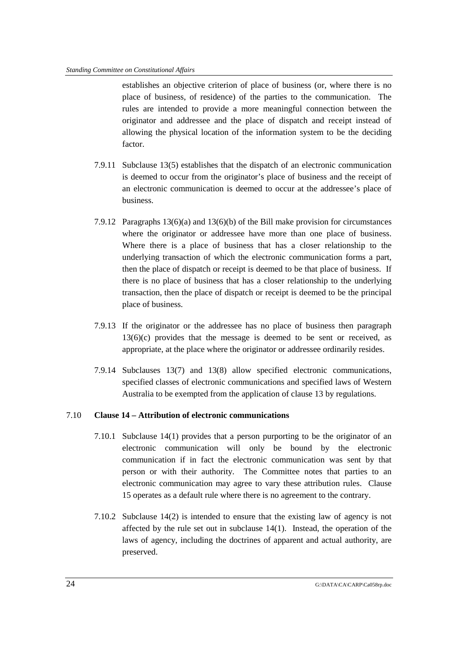establishes an objective criterion of place of business (or, where there is no place of business, of residence) of the parties to the communication. The rules are intended to provide a more meaningful connection between the originator and addressee and the place of dispatch and receipt instead of allowing the physical location of the information system to be the deciding factor.

- 7.9.11 Subclause 13(5) establishes that the dispatch of an electronic communication is deemed to occur from the originator's place of business and the receipt of an electronic communication is deemed to occur at the addressee's place of business.
- 7.9.12 Paragraphs 13(6)(a) and 13(6)(b) of the Bill make provision for circumstances where the originator or addressee have more than one place of business. Where there is a place of business that has a closer relationship to the underlying transaction of which the electronic communication forms a part, then the place of dispatch or receipt is deemed to be that place of business. If there is no place of business that has a closer relationship to the underlying transaction, then the place of dispatch or receipt is deemed to be the principal place of business.
- 7.9.13 If the originator or the addressee has no place of business then paragraph 13(6)(c) provides that the message is deemed to be sent or received, as appropriate, at the place where the originator or addressee ordinarily resides.
- 7.9.14 Subclauses 13(7) and 13(8) allow specified electronic communications, specified classes of electronic communications and specified laws of Western Australia to be exempted from the application of clause 13 by regulations.

## 7.10 **Clause 14 – Attribution of electronic communications**

- 7.10.1 Subclause 14(1) provides that a person purporting to be the originator of an electronic communication will only be bound by the electronic communication if in fact the electronic communication was sent by that person or with their authority. The Committee notes that parties to an electronic communication may agree to vary these attribution rules. Clause 15 operates as a default rule where there is no agreement to the contrary.
- 7.10.2 Subclause 14(2) is intended to ensure that the existing law of agency is not affected by the rule set out in subclause 14(1). Instead, the operation of the laws of agency, including the doctrines of apparent and actual authority, are preserved.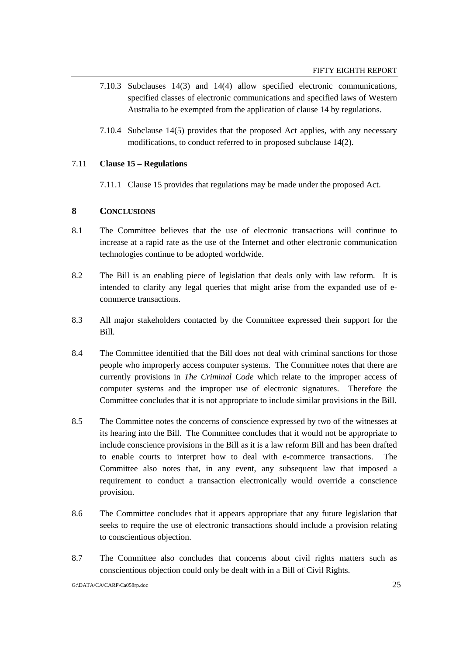- 7.10.3 Subclauses 14(3) and 14(4) allow specified electronic communications, specified classes of electronic communications and specified laws of Western Australia to be exempted from the application of clause 14 by regulations.
- 7.10.4 Subclause 14(5) provides that the proposed Act applies, with any necessary modifications, to conduct referred to in proposed subclause 14(2).

## 7.11 **Clause 15 – Regulations**

7.11.1 Clause 15 provides that regulations may be made under the proposed Act.

## **8 CONCLUSIONS**

- 8.1 The Committee believes that the use of electronic transactions will continue to increase at a rapid rate as the use of the Internet and other electronic communication technologies continue to be adopted worldwide.
- 8.2 The Bill is an enabling piece of legislation that deals only with law reform. It is intended to clarify any legal queries that might arise from the expanded use of ecommerce transactions.
- 8.3 All major stakeholders contacted by the Committee expressed their support for the Bill.
- 8.4 The Committee identified that the Bill does not deal with criminal sanctions for those people who improperly access computer systems. The Committee notes that there are currently provisions in *The Criminal Code* which relate to the improper access of computer systems and the improper use of electronic signatures. Therefore the Committee concludes that it is not appropriate to include similar provisions in the Bill.
- 8.5 The Committee notes the concerns of conscience expressed by two of the witnesses at its hearing into the Bill. The Committee concludes that it would not be appropriate to include conscience provisions in the Bill as it is a law reform Bill and has been drafted to enable courts to interpret how to deal with e-commerce transactions. The Committee also notes that, in any event, any subsequent law that imposed a requirement to conduct a transaction electronically would override a conscience provision.
- 8.6 The Committee concludes that it appears appropriate that any future legislation that seeks to require the use of electronic transactions should include a provision relating to conscientious objection.
- 8.7 The Committee also concludes that concerns about civil rights matters such as conscientious objection could only be dealt with in a Bill of Civil Rights.

 $G:\Delta\Gamma A\subset A\cap C\cap C$  and  $\overline{25}$